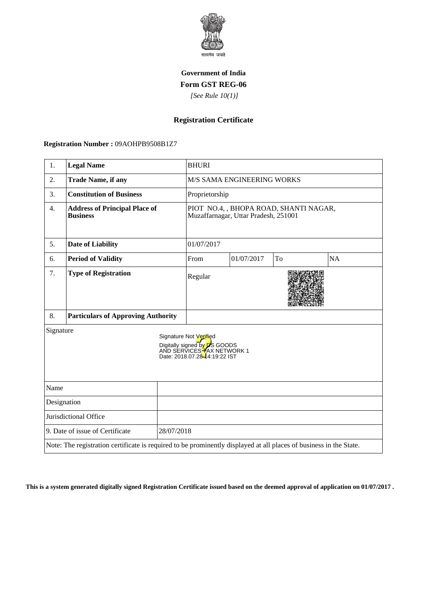

## **Government of India Form GST REG-06**

 *[See Rule 10(1)]*

## **Registration Certificate**

 **Registration Number :** 09AOHPB9508B1Z7

| 1.                                            | <b>Legal Name</b>                                                                                                  |                                                                                                                               | <b>BHURI</b>                                                                   |            |    |           |
|-----------------------------------------------|--------------------------------------------------------------------------------------------------------------------|-------------------------------------------------------------------------------------------------------------------------------|--------------------------------------------------------------------------------|------------|----|-----------|
| 2.                                            | <b>Trade Name, if any</b>                                                                                          |                                                                                                                               | M/S SAMA ENGINEERING WORKS                                                     |            |    |           |
| 3.                                            | <b>Constitution of Business</b>                                                                                    |                                                                                                                               | Proprietorship                                                                 |            |    |           |
| 4.                                            | <b>Address of Principal Place of</b><br><b>Business</b>                                                            |                                                                                                                               | PIOT NO.4, , BHOPA ROAD, SHANTI NAGAR,<br>Muzaffarnagar, Uttar Pradesh, 251001 |            |    |           |
| 5.                                            | <b>Date of Liability</b>                                                                                           |                                                                                                                               | 01/07/2017                                                                     |            |    |           |
| 6.                                            | <b>Period of Validity</b>                                                                                          |                                                                                                                               | From                                                                           | 01/07/2017 | To | <b>NA</b> |
| 7.                                            | <b>Type of Registration</b>                                                                                        |                                                                                                                               | Regular                                                                        |            |    |           |
| 8.                                            | <b>Particulars of Approving Authority</b>                                                                          |                                                                                                                               |                                                                                |            |    |           |
| Signature                                     |                                                                                                                    | Signature Not Verified<br>Digitally signed by <b>p</b> S GOODS<br>AND SERVICES TAX NETWORK 1<br>Date: 2018.07.28-44:19:22 IST |                                                                                |            |    |           |
| Name                                          |                                                                                                                    |                                                                                                                               |                                                                                |            |    |           |
| Designation                                   |                                                                                                                    |                                                                                                                               |                                                                                |            |    |           |
| Jurisdictional Office                         |                                                                                                                    |                                                                                                                               |                                                                                |            |    |           |
| 9. Date of issue of Certificate<br>28/07/2018 |                                                                                                                    |                                                                                                                               |                                                                                |            |    |           |
|                                               | Note: The registration certificate is required to be prominently displayed at all places of business in the State. |                                                                                                                               |                                                                                |            |    |           |

**This is a system generated digitally signed Registration Certificate issued based on the deemed approval of application on 01/07/2017 .**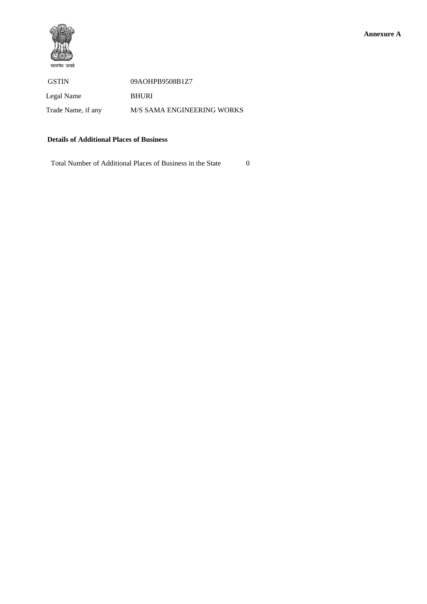

GSTIN 09AOHPB9508B1Z7 Legal Name BHURI Trade Name, if any M/S SAMA ENGINEERING WORKS

## **Details of Additional Places of Business**

Total Number of Additional Places of Business in the State 0